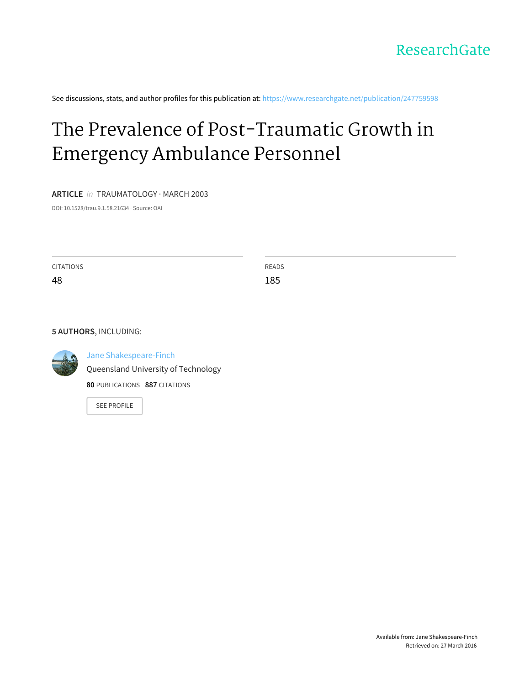See discussions, stats, and author profiles for this publication at: https://www.researchgate.net/publication/247759598

# The Prevalence of Post-Traumatic Growth in Emergency Ambulance Personnel

**ARTICLE** in TRAUMATOLOGY · MARCH 2003

DOI: 10.1528/trau.9.1.58.21634 · Source: OAI

CITATIONS READS  $\frac{185}{200}$ 

#### **5 AUTHORS, INCLUDING:**



Jane Shakespeare-Finch

Queensland University of Technology

**80** PUBLICATIONS **887** CITATIONS

SEE PROFILE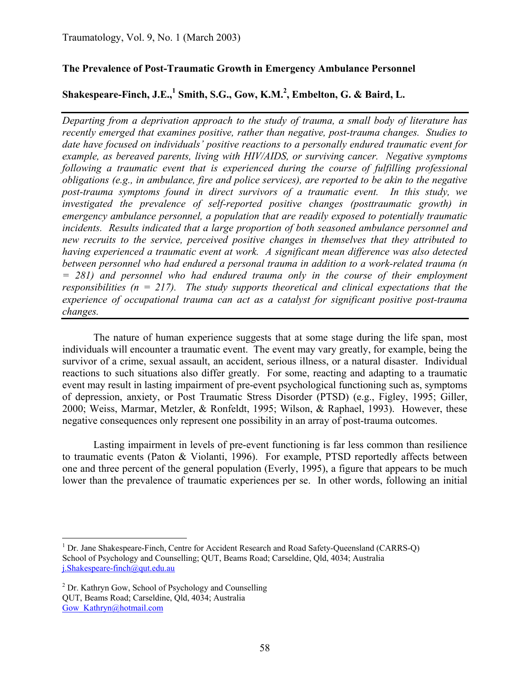## **The Prevalence of Post-Traumatic Growth in Emergency Ambulance Personnel**

## **Shakespeare-Finch, J.E.,<sup>1</sup> Smith, S.G., Gow, K.M.<sup>2</sup> , Embelton, G. & Baird, L.**

*Departing from a deprivation approach to the study of trauma, a small body of literature has recently emerged that examines positive, rather than negative, post-trauma changes. Studies to date have focused on individuals' positive reactions to a personally endured traumatic event for example, as bereaved parents, living with HIV/AIDS, or surviving cancer. Negative symptoms following a traumatic event that is experienced during the course of fulfilling professional obligations (e.g., in ambulance, fire and police services), are reported to be akin to the negative post-trauma symptoms found in direct survivors of a traumatic event. In this study, we investigated the prevalence of self-reported positive changes (posttraumatic growth) in emergency ambulance personnel, a population that are readily exposed to potentially traumatic incidents. Results indicated that a large proportion of both seasoned ambulance personnel and new recruits to the service, perceived positive changes in themselves that they attributed to having experienced a traumatic event at work. A significant mean difference was also detected between personnel who had endured a personal trauma in addition to a work-related trauma (n = 281) and personnel who had endured trauma only in the course of their employment responsibilities (n = 217). The study supports theoretical and clinical expectations that the experience of occupational trauma can act as a catalyst for significant positive post-trauma changes.* 

The nature of human experience suggests that at some stage during the life span, most individuals will encounter a traumatic event. The event may vary greatly, for example, being the survivor of a crime, sexual assault, an accident, serious illness, or a natural disaster. Individual reactions to such situations also differ greatly. For some, reacting and adapting to a traumatic event may result in lasting impairment of pre-event psychological functioning such as, symptoms of depression, anxiety, or Post Traumatic Stress Disorder (PTSD) (e.g., Figley, 1995; Giller, 2000; Weiss, Marmar, Metzler, & Ronfeldt, 1995; Wilson, & Raphael, 1993). However, these negative consequences only represent one possibility in an array of post-trauma outcomes.

Lasting impairment in levels of pre-event functioning is far less common than resilience to traumatic events (Paton & Violanti, 1996). For example, PTSD reportedly affects between one and three percent of the general population (Everly, 1995), a figure that appears to be much lower than the prevalence of traumatic experiences per se. In other words, following an initial

 $\overline{a}$ 

<sup>&</sup>lt;sup>1</sup> Dr. Jane Shakespeare-Finch, Centre for Accident Research and Road Safety-Queensland (CARRS-Q) School of Psychology and Counselling; QUT, Beams Road; Carseldine, Qld, 4034; Australia j.Shakespeare-finch@qut.edu.au

<sup>2</sup> Dr. Kathryn Gow, School of Psychology and Counselling QUT, Beams Road; Carseldine, Qld, 4034; Australia Gow\_Kathryn@hotmail.com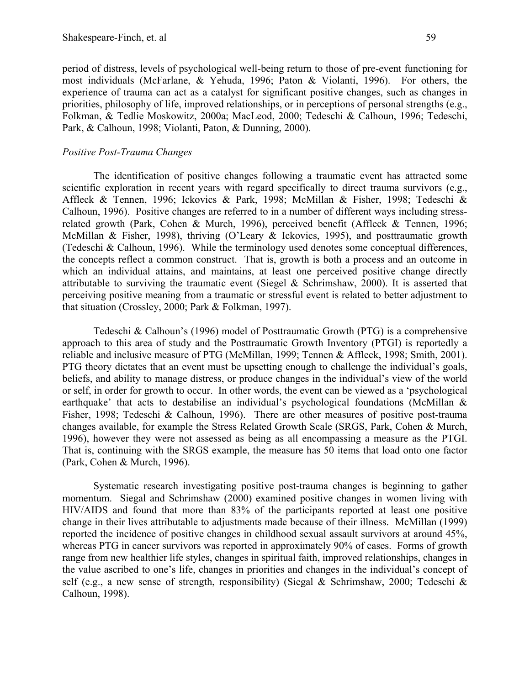period of distress, levels of psychological well-being return to those of pre-event functioning for most individuals (McFarlane, & Yehuda, 1996; Paton & Violanti, 1996). For others, the experience of trauma can act as a catalyst for significant positive changes, such as changes in priorities, philosophy of life, improved relationships, or in perceptions of personal strengths (e.g., Folkman, & Tedlie Moskowitz, 2000a; MacLeod, 2000; Tedeschi & Calhoun, 1996; Tedeschi, Park, & Calhoun, 1998; Violanti, Paton, & Dunning, 2000).

#### *Positive Post-Trauma Changes*

The identification of positive changes following a traumatic event has attracted some scientific exploration in recent years with regard specifically to direct trauma survivors (e.g., Affleck & Tennen, 1996; Ickovics & Park, 1998; McMillan & Fisher, 1998; Tedeschi & Calhoun, 1996). Positive changes are referred to in a number of different ways including stressrelated growth (Park, Cohen & Murch, 1996), perceived benefit (Affleck & Tennen, 1996; McMillan & Fisher, 1998), thriving (O'Leary & Ickovics, 1995), and posttraumatic growth (Tedeschi & Calhoun, 1996). While the terminology used denotes some conceptual differences, the concepts reflect a common construct. That is, growth is both a process and an outcome in which an individual attains, and maintains, at least one perceived positive change directly attributable to surviving the traumatic event (Siegel  $\&$  Schrimshaw, 2000). It is asserted that perceiving positive meaning from a traumatic or stressful event is related to better adjustment to that situation (Crossley, 2000; Park & Folkman, 1997).

Tedeschi & Calhoun's (1996) model of Posttraumatic Growth (PTG) is a comprehensive approach to this area of study and the Posttraumatic Growth Inventory (PTGI) is reportedly a reliable and inclusive measure of PTG (McMillan, 1999; Tennen & Affleck, 1998; Smith, 2001). PTG theory dictates that an event must be upsetting enough to challenge the individual's goals, beliefs, and ability to manage distress, or produce changes in the individual's view of the world or self, in order for growth to occur. In other words, the event can be viewed as a 'psychological earthquake' that acts to destabilise an individual's psychological foundations (McMillan & Fisher, 1998; Tedeschi & Calhoun, 1996). There are other measures of positive post-trauma changes available, for example the Stress Related Growth Scale (SRGS, Park, Cohen & Murch, 1996), however they were not assessed as being as all encompassing a measure as the PTGI. That is, continuing with the SRGS example, the measure has 50 items that load onto one factor (Park, Cohen & Murch, 1996).

Systematic research investigating positive post-trauma changes is beginning to gather momentum. Siegal and Schrimshaw (2000) examined positive changes in women living with HIV/AIDS and found that more than 83% of the participants reported at least one positive change in their lives attributable to adjustments made because of their illness. McMillan (1999) reported the incidence of positive changes in childhood sexual assault survivors at around 45%, whereas PTG in cancer survivors was reported in approximately 90% of cases. Forms of growth range from new healthier life styles, changes in spiritual faith, improved relationships, changes in the value ascribed to one's life, changes in priorities and changes in the individual's concept of self (e.g., a new sense of strength, responsibility) (Siegal & Schrimshaw, 2000; Tedeschi & Calhoun, 1998).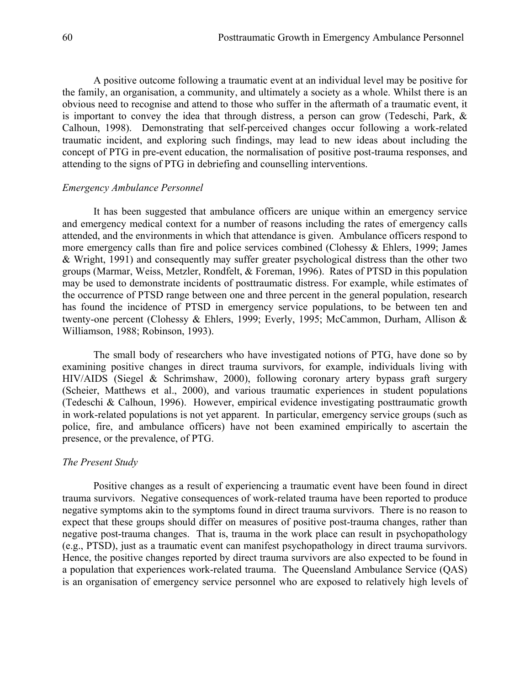A positive outcome following a traumatic event at an individual level may be positive for the family, an organisation, a community, and ultimately a society as a whole. Whilst there is an obvious need to recognise and attend to those who suffer in the aftermath of a traumatic event, it is important to convey the idea that through distress, a person can grow (Tedeschi, Park, & Calhoun, 1998). Demonstrating that self-perceived changes occur following a work-related traumatic incident, and exploring such findings, may lead to new ideas about including the concept of PTG in pre-event education, the normalisation of positive post-trauma responses, and attending to the signs of PTG in debriefing and counselling interventions.

#### *Emergency Ambulance Personnel*

It has been suggested that ambulance officers are unique within an emergency service and emergency medical context for a number of reasons including the rates of emergency calls attended, and the environments in which that attendance is given. Ambulance officers respond to more emergency calls than fire and police services combined (Clohessy & Ehlers, 1999; James & Wright, 1991) and consequently may suffer greater psychological distress than the other two groups (Marmar, Weiss, Metzler, Rondfelt, & Foreman, 1996). Rates of PTSD in this population may be used to demonstrate incidents of posttraumatic distress. For example, while estimates of the occurrence of PTSD range between one and three percent in the general population, research has found the incidence of PTSD in emergency service populations, to be between ten and twenty-one percent (Clohessy & Ehlers, 1999; Everly, 1995; McCammon, Durham, Allison & Williamson, 1988; Robinson, 1993).

The small body of researchers who have investigated notions of PTG, have done so by examining positive changes in direct trauma survivors, for example, individuals living with HIV/AIDS (Siegel & Schrimshaw, 2000), following coronary artery bypass graft surgery (Scheier, Matthews et al., 2000), and various traumatic experiences in student populations (Tedeschi & Calhoun, 1996). However, empirical evidence investigating posttraumatic growth in work-related populations is not yet apparent. In particular, emergency service groups (such as police, fire, and ambulance officers) have not been examined empirically to ascertain the presence, or the prevalence, of PTG.

#### *The Present Study*

Positive changes as a result of experiencing a traumatic event have been found in direct trauma survivors. Negative consequences of work-related trauma have been reported to produce negative symptoms akin to the symptoms found in direct trauma survivors. There is no reason to expect that these groups should differ on measures of positive post-trauma changes, rather than negative post-trauma changes. That is, trauma in the work place can result in psychopathology (e.g., PTSD), just as a traumatic event can manifest psychopathology in direct trauma survivors. Hence, the positive changes reported by direct trauma survivors are also expected to be found in a population that experiences work-related trauma. The Queensland Ambulance Service (QAS) is an organisation of emergency service personnel who are exposed to relatively high levels of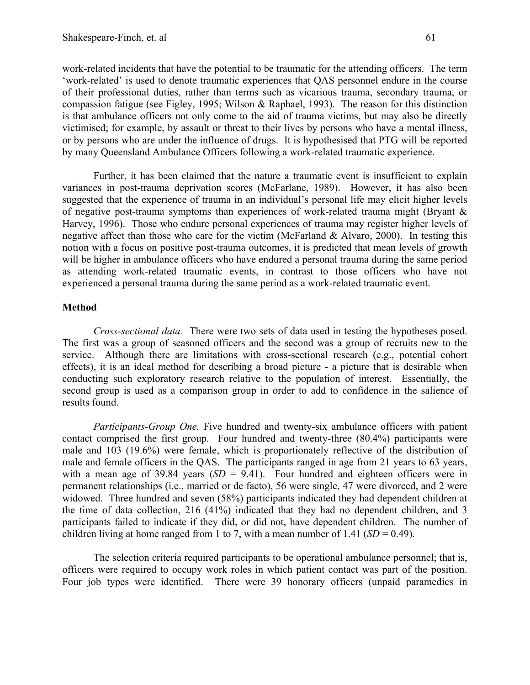work-related incidents that have the potential to be traumatic for the attending officers. The term 'work-related' is used to denote traumatic experiences that QAS personnel endure in the course of their professional duties, rather than terms such as vicarious trauma, secondary trauma, or compassion fatigue (see Figley, 1995; Wilson & Raphael, 1993). The reason for this distinction is that ambulance officers not only come to the aid of trauma victims, but may also be directly victimised; for example, by assault or threat to their lives by persons who have a mental illness, or by persons who are under the influence of drugs. It is hypothesised that PTG will be reported by many Queensland Ambulance Officers following a work-related traumatic experience.

Further, it has been claimed that the nature a traumatic event is insufficient to explain variances in post-trauma deprivation scores (McFarlane, 1989). However, it has also been suggested that the experience of trauma in an individual's personal life may elicit higher levels of negative post-trauma symptoms than experiences of work-related trauma might (Bryant  $\&$ Harvey, 1996). Those who endure personal experiences of trauma may register higher levels of negative affect than those who care for the victim (McFarland  $\&$  Alvaro, 2000). In testing this notion with a focus on positive post-trauma outcomes, it is predicted that mean levels of growth will be higher in ambulance officers who have endured a personal trauma during the same period as attending work-related traumatic events, in contrast to those officers who have not experienced a personal trauma during the same period as a work-related traumatic event.

## **Method**

*Cross-sectional data.* There were two sets of data used in testing the hypotheses posed. The first was a group of seasoned officers and the second was a group of recruits new to the service. Although there are limitations with cross-sectional research (e.g., potential cohort effects), it is an ideal method for describing a broad picture - a picture that is desirable when conducting such exploratory research relative to the population of interest. Essentially, the second group is used as a comparison group in order to add to confidence in the salience of results found.

*Participants-Group One.* Five hundred and twenty-six ambulance officers with patient contact comprised the first group. Four hundred and twenty-three (80.4%) participants were male and 103 (19.6%) were female, which is proportionately reflective of the distribution of male and female officers in the QAS. The participants ranged in age from 21 years to 63 years, with a mean age of 39.84 years  $(SD = 9.41)$ . Four hundred and eighteen officers were in permanent relationships (i.e., married or de facto), 56 were single, 47 were divorced, and 2 were widowed. Three hundred and seven (58%) participants indicated they had dependent children at the time of data collection, 216 (41%) indicated that they had no dependent children, and 3 participants failed to indicate if they did, or did not, have dependent children. The number of children living at home ranged from 1 to 7, with a mean number of 1.41  $(SD = 0.49)$ .

The selection criteria required participants to be operational ambulance personnel; that is, officers were required to occupy work roles in which patient contact was part of the position. Four job types were identified. There were 39 honorary officers (unpaid paramedics in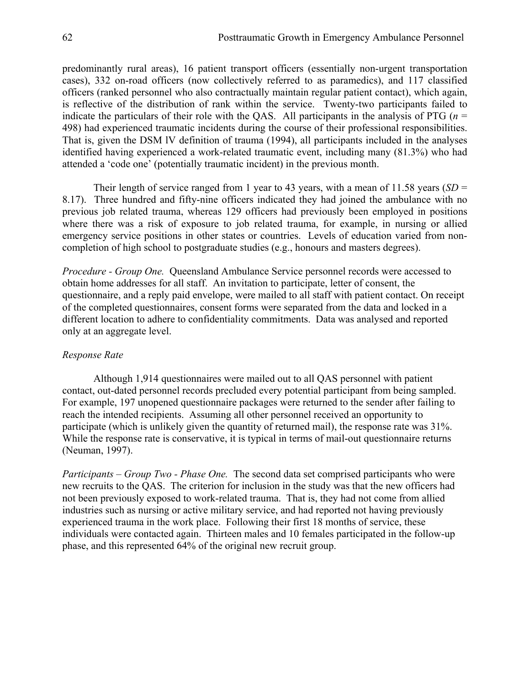predominantly rural areas), 16 patient transport officers (essentially non-urgent transportation cases), 332 on-road officers (now collectively referred to as paramedics), and 117 classified officers (ranked personnel who also contractually maintain regular patient contact), which again, is reflective of the distribution of rank within the service. Twenty-two participants failed to indicate the particulars of their role with the QAS. All participants in the analysis of PTG ( $n =$ 498) had experienced traumatic incidents during the course of their professional responsibilities. That is, given the DSM lV definition of trauma (1994), all participants included in the analyses identified having experienced a work-related traumatic event, including many (81.3%) who had attended a 'code one' (potentially traumatic incident) in the previous month.

Their length of service ranged from 1 year to 43 years, with a mean of 11.58 years (*SD* = 8.17). Three hundred and fifty-nine officers indicated they had joined the ambulance with no previous job related trauma, whereas 129 officers had previously been employed in positions where there was a risk of exposure to job related trauma, for example, in nursing or allied emergency service positions in other states or countries. Levels of education varied from noncompletion of high school to postgraduate studies (e.g., honours and masters degrees).

*Procedure - Group One.* Queensland Ambulance Service personnel records were accessed to obtain home addresses for all staff. An invitation to participate, letter of consent, the questionnaire, and a reply paid envelope, were mailed to all staff with patient contact. On receipt of the completed questionnaires, consent forms were separated from the data and locked in a different location to adhere to confidentiality commitments. Data was analysed and reported only at an aggregate level.

### *Response Rate*

Although 1,914 questionnaires were mailed out to all QAS personnel with patient contact, out-dated personnel records precluded every potential participant from being sampled. For example, 197 unopened questionnaire packages were returned to the sender after failing to reach the intended recipients. Assuming all other personnel received an opportunity to participate (which is unlikely given the quantity of returned mail), the response rate was 31%. While the response rate is conservative, it is typical in terms of mail-out questionnaire returns (Neuman, 1997).

*Participants – Group Two - Phase One.* The second data set comprised participants who were new recruits to the QAS. The criterion for inclusion in the study was that the new officers had not been previously exposed to work-related trauma. That is, they had not come from allied industries such as nursing or active military service, and had reported not having previously experienced trauma in the work place. Following their first 18 months of service, these individuals were contacted again. Thirteen males and 10 females participated in the follow-up phase, and this represented 64% of the original new recruit group.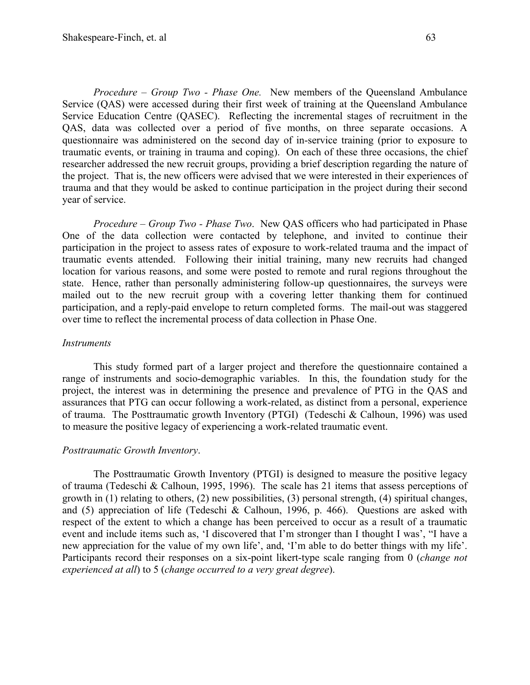*Procedure – Group Two - Phase One.* New members of the Queensland Ambulance Service (QAS) were accessed during their first week of training at the Queensland Ambulance Service Education Centre (QASEC). Reflecting the incremental stages of recruitment in the QAS, data was collected over a period of five months, on three separate occasions. A questionnaire was administered on the second day of in-service training (prior to exposure to traumatic events, or training in trauma and coping). On each of these three occasions, the chief researcher addressed the new recruit groups, providing a brief description regarding the nature of the project. That is, the new officers were advised that we were interested in their experiences of trauma and that they would be asked to continue participation in the project during their second year of service.

*Procedure – Group Two - Phase Two*. New QAS officers who had participated in Phase One of the data collection were contacted by telephone, and invited to continue their participation in the project to assess rates of exposure to work-related trauma and the impact of traumatic events attended. Following their initial training, many new recruits had changed location for various reasons, and some were posted to remote and rural regions throughout the state. Hence, rather than personally administering follow-up questionnaires, the surveys were mailed out to the new recruit group with a covering letter thanking them for continued participation, and a reply-paid envelope to return completed forms. The mail-out was staggered over time to reflect the incremental process of data collection in Phase One.

#### *Instruments*

This study formed part of a larger project and therefore the questionnaire contained a range of instruments and socio-demographic variables. In this, the foundation study for the project, the interest was in determining the presence and prevalence of PTG in the QAS and assurances that PTG can occur following a work-related, as distinct from a personal, experience of trauma. The Posttraumatic growth Inventory (PTGI) (Tedeschi & Calhoun, 1996) was used to measure the positive legacy of experiencing a work-related traumatic event.

#### *Posttraumatic Growth Inventory*.

The Posttraumatic Growth Inventory (PTGI) is designed to measure the positive legacy of trauma (Tedeschi & Calhoun, 1995, 1996). The scale has 21 items that assess perceptions of growth in (1) relating to others, (2) new possibilities, (3) personal strength, (4) spiritual changes, and (5) appreciation of life (Tedeschi & Calhoun, 1996, p. 466). Questions are asked with respect of the extent to which a change has been perceived to occur as a result of a traumatic event and include items such as, 'I discovered that I'm stronger than I thought I was', "I have a new appreciation for the value of my own life', and, 'I'm able to do better things with my life'. Participants record their responses on a six-point likert-type scale ranging from 0 (*change not experienced at all*) to 5 (*change occurred to a very great degree*).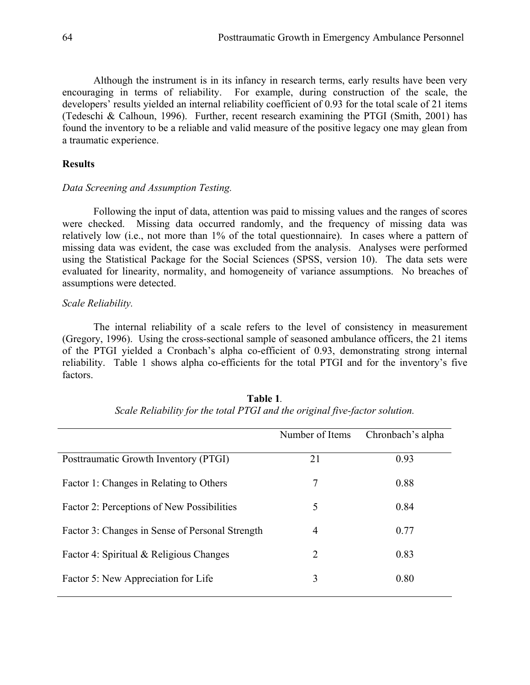Although the instrument is in its infancy in research terms, early results have been very encouraging in terms of reliability. For example, during construction of the scale, the developers' results yielded an internal reliability coefficient of 0.93 for the total scale of 21 items (Tedeschi & Calhoun, 1996). Further, recent research examining the PTGI (Smith, 2001) has found the inventory to be a reliable and valid measure of the positive legacy one may glean from a traumatic experience.

#### **Results**

#### *Data Screening and Assumption Testing.*

Following the input of data, attention was paid to missing values and the ranges of scores were checked. Missing data occurred randomly, and the frequency of missing data was relatively low (i.e., not more than 1% of the total questionnaire). In cases where a pattern of missing data was evident, the case was excluded from the analysis. Analyses were performed using the Statistical Package for the Social Sciences (SPSS, version 10). The data sets were evaluated for linearity, normality, and homogeneity of variance assumptions. No breaches of assumptions were detected.

#### *Scale Reliability.*

The internal reliability of a scale refers to the level of consistency in measurement (Gregory, 1996). Using the cross-sectional sample of seasoned ambulance officers, the 21 items of the PTGI yielded a Cronbach's alpha co-efficient of 0.93, demonstrating strong internal reliability. Table 1 shows alpha co-efficients for the total PTGI and for the inventory's five factors.

|                                                 | Number of Items | Chronbach's alpha |
|-------------------------------------------------|-----------------|-------------------|
| Posttraumatic Growth Inventory (PTGI)           | 21              | 0.93              |
| Factor 1: Changes in Relating to Others         | 7               | 0.88              |
| Factor 2: Perceptions of New Possibilities      | 5               | 0.84              |
| Factor 3: Changes in Sense of Personal Strength | $\overline{4}$  | 0.77              |
| Factor 4: Spiritual & Religious Changes         | 2               | 0.83              |
| Factor 5: New Appreciation for Life             | 3               | 0.80              |

**Table 1***. Scale Reliability for the total PTGI and the original five-factor solution.*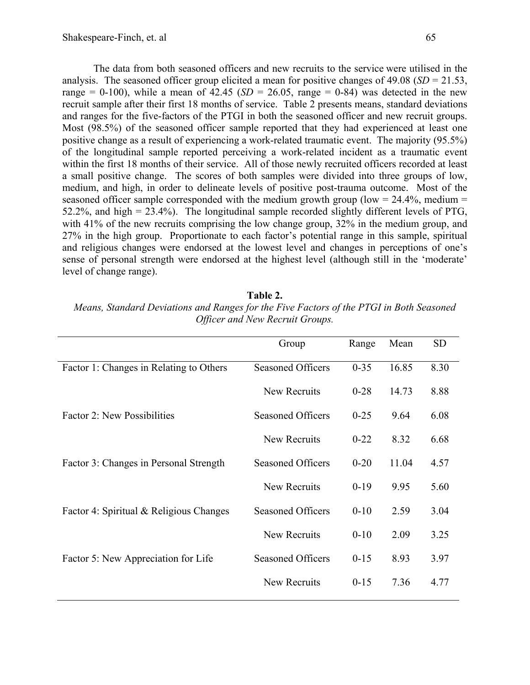The data from both seasoned officers and new recruits to the service were utilised in the analysis. The seasoned officer group elicited a mean for positive changes of 49.08 (*SD* = 21.53, range = 0-100), while a mean of  $42.45$  ( $SD = 26.05$ , range = 0-84) was detected in the new recruit sample after their first 18 months of service. Table 2 presents means, standard deviations and ranges for the five-factors of the PTGI in both the seasoned officer and new recruit groups. Most (98.5%) of the seasoned officer sample reported that they had experienced at least one positive change as a result of experiencing a work-related traumatic event. The majority (95.5%) of the longitudinal sample reported perceiving a work-related incident as a traumatic event within the first 18 months of their service. All of those newly recruited officers recorded at least a small positive change. The scores of both samples were divided into three groups of low, medium, and high, in order to delineate levels of positive post-trauma outcome. Most of the seasoned officer sample corresponded with the medium growth group (low  $= 24.4\%$ , medium  $=$ 52.2%, and high  $= 23.4\%$ ). The longitudinal sample recorded slightly different levels of PTG, with 41% of the new recruits comprising the low change group, 32% in the medium group, and 27% in the high group. Proportionate to each factor's potential range in this sample, spiritual and religious changes were endorsed at the lowest level and changes in perceptions of one's sense of personal strength were endorsed at the highest level (although still in the 'moderate' level of change range).

|                                         | Group                    | Range    | Mean  | <b>SD</b> |
|-----------------------------------------|--------------------------|----------|-------|-----------|
| Factor 1: Changes in Relating to Others | <b>Seasoned Officers</b> | $0 - 35$ | 16.85 | 8.30      |
|                                         | <b>New Recruits</b>      | $0 - 28$ | 14.73 | 8.88      |
| Factor 2: New Possibilities             | <b>Seasoned Officers</b> | $0 - 25$ | 9.64  | 6.08      |
|                                         | <b>New Recruits</b>      | $0 - 22$ | 8.32  | 6.68      |
| Factor 3: Changes in Personal Strength  | <b>Seasoned Officers</b> | $0 - 20$ | 11.04 | 4.57      |
|                                         | <b>New Recruits</b>      | $0-19$   | 9.95  | 5.60      |
| Factor 4: Spiritual & Religious Changes | <b>Seasoned Officers</b> | $0-10$   | 2.59  | 3.04      |
|                                         | <b>New Recruits</b>      | $0-10$   | 2.09  | 3.25      |
| Factor 5: New Appreciation for Life     | <b>Seasoned Officers</b> | $0 - 15$ | 8.93  | 3.97      |
|                                         | <b>New Recruits</b>      | $0 - 15$ | 7.36  | 4.77      |
|                                         |                          |          |       |           |

**Table 2.**  *Means, Standard Deviations and Ranges for the Five Factors of the PTGI in Both Seasoned Officer and New Recruit Groups.*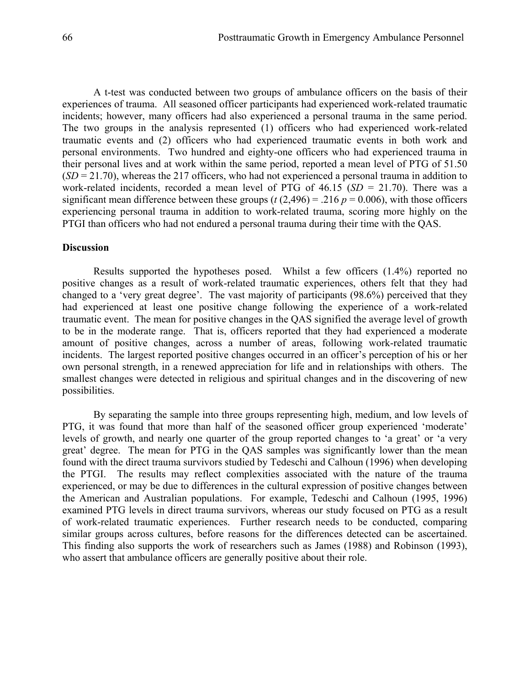A t-test was conducted between two groups of ambulance officers on the basis of their experiences of trauma. All seasoned officer participants had experienced work-related traumatic incidents; however, many officers had also experienced a personal trauma in the same period. The two groups in the analysis represented (1) officers who had experienced work-related traumatic events and (2) officers who had experienced traumatic events in both work and personal environments. Two hundred and eighty-one officers who had experienced trauma in their personal lives and at work within the same period, reported a mean level of PTG of 51.50  $(SD = 21.70)$ , whereas the 217 officers, who had not experienced a personal trauma in addition to work-related incidents, recorded a mean level of PTG of 46.15 (*SD* = 21.70). There was a significant mean difference between these groups ( $t$  (2,496) = .216  $p$  = 0.006), with those officers experiencing personal trauma in addition to work-related trauma, scoring more highly on the PTGI than officers who had not endured a personal trauma during their time with the QAS.

#### **Discussion**

Results supported the hypotheses posed. Whilst a few officers (1.4%) reported no positive changes as a result of work-related traumatic experiences, others felt that they had changed to a 'very great degree'. The vast majority of participants (98.6%) perceived that they had experienced at least one positive change following the experience of a work-related traumatic event. The mean for positive changes in the QAS signified the average level of growth to be in the moderate range. That is, officers reported that they had experienced a moderate amount of positive changes, across a number of areas, following work-related traumatic incidents. The largest reported positive changes occurred in an officer's perception of his or her own personal strength, in a renewed appreciation for life and in relationships with others. The smallest changes were detected in religious and spiritual changes and in the discovering of new possibilities.

By separating the sample into three groups representing high, medium, and low levels of PTG, it was found that more than half of the seasoned officer group experienced 'moderate' levels of growth, and nearly one quarter of the group reported changes to 'a great' or 'a very great' degree. The mean for PTG in the QAS samples was significantly lower than the mean found with the direct trauma survivors studied by Tedeschi and Calhoun (1996) when developing the PTGI. The results may reflect complexities associated with the nature of the trauma experienced, or may be due to differences in the cultural expression of positive changes between the American and Australian populations. For example, Tedeschi and Calhoun (1995, 1996) examined PTG levels in direct trauma survivors, whereas our study focused on PTG as a result of work-related traumatic experiences. Further research needs to be conducted, comparing similar groups across cultures, before reasons for the differences detected can be ascertained. This finding also supports the work of researchers such as James (1988) and Robinson (1993), who assert that ambulance officers are generally positive about their role.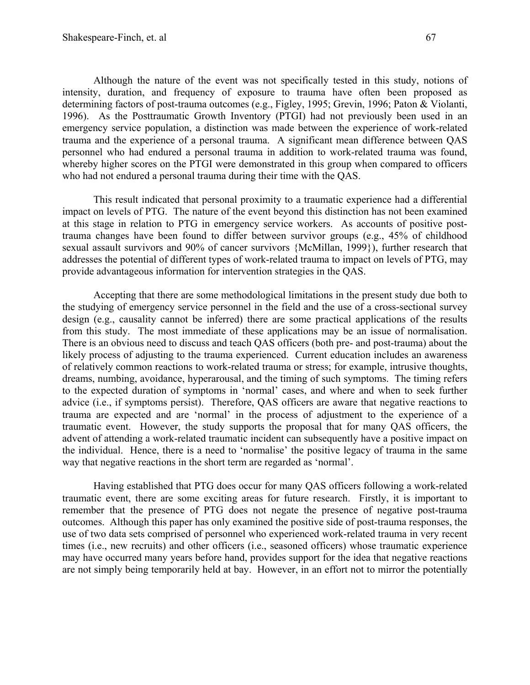Although the nature of the event was not specifically tested in this study, notions of intensity, duration, and frequency of exposure to trauma have often been proposed as determining factors of post-trauma outcomes (e.g., Figley, 1995; Grevin, 1996; Paton & Violanti, 1996). As the Posttraumatic Growth Inventory (PTGI) had not previously been used in an emergency service population, a distinction was made between the experience of work-related trauma and the experience of a personal trauma. A significant mean difference between QAS personnel who had endured a personal trauma in addition to work-related trauma was found, whereby higher scores on the PTGI were demonstrated in this group when compared to officers who had not endured a personal trauma during their time with the QAS.

This result indicated that personal proximity to a traumatic experience had a differential impact on levels of PTG. The nature of the event beyond this distinction has not been examined at this stage in relation to PTG in emergency service workers. As accounts of positive posttrauma changes have been found to differ between survivor groups (e.g., 45% of childhood sexual assault survivors and 90% of cancer survivors {McMillan, 1999}), further research that addresses the potential of different types of work-related trauma to impact on levels of PTG, may provide advantageous information for intervention strategies in the QAS.

Accepting that there are some methodological limitations in the present study due both to the studying of emergency service personnel in the field and the use of a cross-sectional survey design (e.g., causality cannot be inferred) there are some practical applications of the results from this study. The most immediate of these applications may be an issue of normalisation. There is an obvious need to discuss and teach QAS officers (both pre- and post-trauma) about the likely process of adjusting to the trauma experienced. Current education includes an awareness of relatively common reactions to work-related trauma or stress; for example, intrusive thoughts, dreams, numbing, avoidance, hyperarousal, and the timing of such symptoms. The timing refers to the expected duration of symptoms in 'normal' cases, and where and when to seek further advice (i.e., if symptoms persist). Therefore, QAS officers are aware that negative reactions to trauma are expected and are 'normal' in the process of adjustment to the experience of a traumatic event. However, the study supports the proposal that for many QAS officers, the advent of attending a work-related traumatic incident can subsequently have a positive impact on the individual. Hence, there is a need to 'normalise' the positive legacy of trauma in the same way that negative reactions in the short term are regarded as 'normal'.

Having established that PTG does occur for many QAS officers following a work-related traumatic event, there are some exciting areas for future research. Firstly, it is important to remember that the presence of PTG does not negate the presence of negative post-trauma outcomes. Although this paper has only examined the positive side of post-trauma responses, the use of two data sets comprised of personnel who experienced work-related trauma in very recent times (i.e., new recruits) and other officers (i.e., seasoned officers) whose traumatic experience may have occurred many years before hand, provides support for the idea that negative reactions are not simply being temporarily held at bay. However, in an effort not to mirror the potentially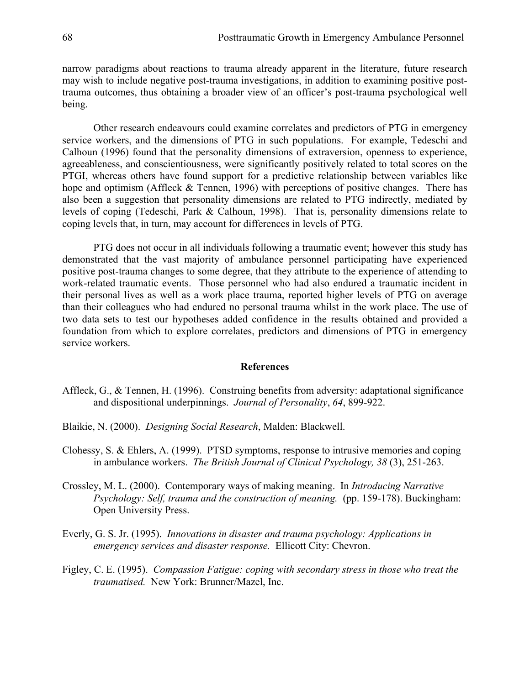narrow paradigms about reactions to trauma already apparent in the literature, future research may wish to include negative post-trauma investigations, in addition to examining positive posttrauma outcomes, thus obtaining a broader view of an officer's post-trauma psychological well being.

Other research endeavours could examine correlates and predictors of PTG in emergency service workers, and the dimensions of PTG in such populations. For example, Tedeschi and Calhoun (1996) found that the personality dimensions of extraversion, openness to experience, agreeableness, and conscientiousness, were significantly positively related to total scores on the PTGI, whereas others have found support for a predictive relationship between variables like hope and optimism (Affleck & Tennen, 1996) with perceptions of positive changes. There has also been a suggestion that personality dimensions are related to PTG indirectly, mediated by levels of coping (Tedeschi, Park & Calhoun, 1998). That is, personality dimensions relate to coping levels that, in turn, may account for differences in levels of PTG.

PTG does not occur in all individuals following a traumatic event; however this study has demonstrated that the vast majority of ambulance personnel participating have experienced positive post-trauma changes to some degree, that they attribute to the experience of attending to work-related traumatic events. Those personnel who had also endured a traumatic incident in their personal lives as well as a work place trauma, reported higher levels of PTG on average than their colleagues who had endured no personal trauma whilst in the work place. The use of two data sets to test our hypotheses added confidence in the results obtained and provided a foundation from which to explore correlates, predictors and dimensions of PTG in emergency service workers.

#### **References**

- Affleck, G., & Tennen, H. (1996). Construing benefits from adversity: adaptational significance and dispositional underpinnings. *Journal of Personality*, *64*, 899-922.
- Blaikie, N. (2000). *Designing Social Research*, Malden: Blackwell.
- Clohessy, S. & Ehlers, A. (1999). PTSD symptoms, response to intrusive memories and coping in ambulance workers. *The British Journal of Clinical Psychology, 38* (3), 251-263.
- Crossley, M. L. (2000). Contemporary ways of making meaning. In *Introducing Narrative Psychology: Self, trauma and the construction of meaning.* (pp. 159-178). Buckingham: Open University Press.
- Everly, G. S. Jr. (1995). *Innovations in disaster and trauma psychology: Applications in emergency services and disaster response.* Ellicott City: Chevron.
- Figley, C. E. (1995). *Compassion Fatigue: coping with secondary stress in those who treat the traumatised.* New York: Brunner/Mazel, Inc.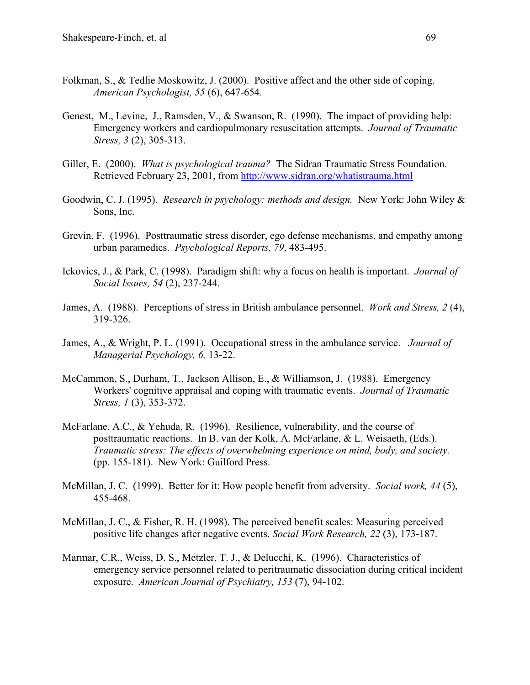- Folkman, S., & Tedlie Moskowitz, J. (2000). Positive affect and the other side of coping. *American Psychologist, 55* (6), 647-654.
- Genest, M., Levine, J., Ramsden, V., & Swanson, R. (1990). The impact of providing help: Emergency workers and cardiopulmonary resuscitation attempts. *Journal of Traumatic Stress, 3* (2), 305-313.
- Giller, E. (2000). *What is psychological trauma?* The Sidran Traumatic Stress Foundation. Retrieved February 23, 2001, from http://www.sidran.org/whatistrauma.html
- Goodwin, C. J. (1995). *Research in psychology: methods and design.* New York: John Wiley & Sons, Inc.
- Grevin, F. (1996). Posttraumatic stress disorder, ego defense mechanisms, and empathy among urban paramedics. *Psychological Reports, 79*, 483-495.
- Ickovics, J., & Park, C. (1998). Paradigm shift: why a focus on health is important. *Journal of Social Issues, 54* (2), 237-244.
- James, A. (1988). Perceptions of stress in British ambulance personnel. *Work and Stress, 2* (4), 319-326.
- James, A., & Wright, P. L. (1991). Occupational stress in the ambulance service. *Journal of Managerial Psychology, 6,* 13-22.
- McCammon, S., Durham, T., Jackson Allison, E., & Williamson, J. (1988). Emergency Workers' cognitive appraisal and coping with traumatic events. *Journal of Traumatic Stress, 1* (3), 353-372.
- McFarlane, A.C., & Yehuda, R. (1996). Resilience, vulnerability, and the course of posttraumatic reactions. In B. van der Kolk, A. McFarlane, & L. Weisaeth, (Eds.). *Traumatic stress: The effects of overwhelming experience on mind, body, and society.*  (pp. 155-181). New York: Guilford Press.
- McMillan, J. C. (1999). Better for it: How people benefit from adversity. *Social work, 44* (5), 455-468.
- McMillan, J. C., & Fisher, R. H. (1998). The perceived benefit scales: Measuring perceived positive life changes after negative events. *Social Work Research, 22* (3), 173-187.
- Marmar, C.R., Weiss, D. S., Metzler, T. J., & Delucchi, K. (1996). Characteristics of emergency service personnel related to peritraumatic dissociation during critical incident exposure. *American Journal of Psychiatry, 153* (7), 94-102.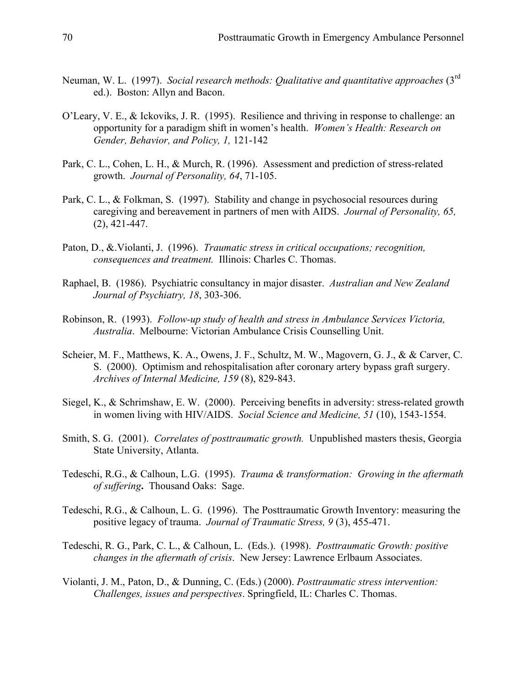- Neuman, W. L. (1997). *Social research methods: Qualitative and quantitative approaches* (3rd ed.). Boston: Allyn and Bacon.
- O'Leary, V. E., & Ickoviks, J. R. (1995). Resilience and thriving in response to challenge: an opportunity for a paradigm shift in women's health. *Women's Health: Research on Gender, Behavior, and Policy, 1,* 121-142
- Park, C. L., Cohen, L. H., & Murch, R. (1996). Assessment and prediction of stress-related growth. *Journal of Personality, 64*, 71-105.
- Park, C. L., & Folkman, S. (1997). Stability and change in psychosocial resources during caregiving and bereavement in partners of men with AIDS. *Journal of Personality, 65,*  (2), 421-447.
- Paton, D., &.Violanti, J. (1996). *Traumatic stress in critical occupations; recognition, consequences and treatment.* Illinois: Charles C. Thomas.
- Raphael, B. (1986). Psychiatric consultancy in major disaster. *Australian and New Zealand Journal of Psychiatry, 18*, 303-306.
- Robinson, R. (1993). *Follow-up study of health and stress in Ambulance Services Victoria, Australia*. Melbourne: Victorian Ambulance Crisis Counselling Unit.
- Scheier, M. F., Matthews, K. A., Owens, J. F., Schultz, M. W., Magovern, G. J., & & Carver, C. S. (2000). Optimism and rehospitalisation after coronary artery bypass graft surgery. *Archives of Internal Medicine, 159* (8), 829-843.
- Siegel, K., & Schrimshaw, E. W. (2000). Perceiving benefits in adversity: stress-related growth in women living with HIV/AIDS. *Social Science and Medicine, 51* (10), 1543-1554.
- Smith, S. G. (2001). *Correlates of posttraumatic growth.* Unpublished masters thesis, Georgia State University, Atlanta.
- Tedeschi, R.G., & Calhoun, L.G. (1995). *Trauma & transformation: Growing in the aftermath of suffering***.** Thousand Oaks: Sage.
- Tedeschi, R.G., & Calhoun, L. G. (1996). The Posttraumatic Growth Inventory: measuring the positive legacy of trauma. *Journal of Traumatic Stress, 9* (3), 455-471.
- Tedeschi, R. G., Park, C. L., & Calhoun, L. (Eds.). (1998). *Posttraumatic Growth: positive changes in the aftermath of crisis*. New Jersey: Lawrence Erlbaum Associates.
- Violanti, J. M., Paton, D., & Dunning, C. (Eds.) (2000). *Posttraumatic stress intervention: Challenges, issues and perspectives*. Springfield, IL: Charles C. Thomas.